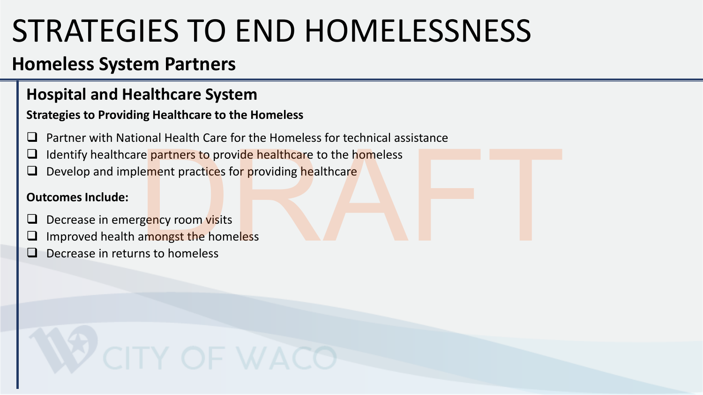## **Homeless System Partners**

#### **Hospital and Healthcare System**

#### **Strategies to Providing Healthcare to the Homeless**

- ❑ Partner with National Health Care for the Homeless for technical assistance
- Identify healthcare partners to provide healthcare to the homeless The partners to provide healthcare to the homeless<br>Lement practices for providing healthcare<br>gency room visits<br>amongst the homeless<br>ms to homeless
- Develop and implement practices for providing healthcare

#### **Outcomes Include:**

- Decrease in emergency room visits
- Improved health amongst the homeless
- Decrease in returns to homeless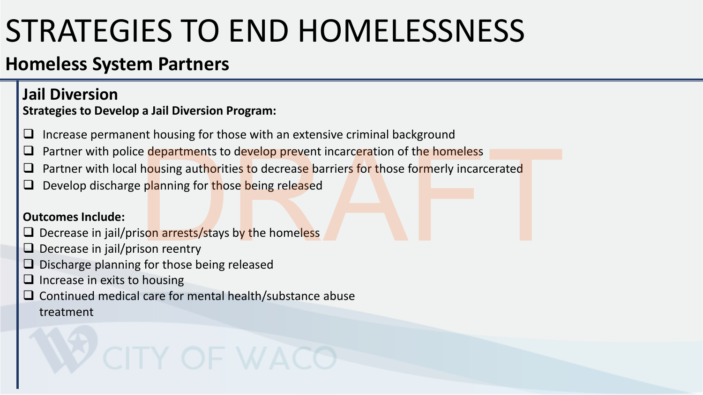## **Homeless System Partners**

#### **Jail Diversion Strategies to Develop a Jail Diversion Program:**

- □ Increase permanent housing for those with an extensive criminal background
- □ Partner with police departments to develop prevent incarceration of the homeless
- Partner with local housing authorities to decrease barriers for those formerly incarcerated e departments to develop prevent incarceration of the homeless<br>
housing authorities to decrease barriers for those formerly incarcerated<br>
planning for those being released<br>
sion arrests/stays by the homeless<br>
y for those b
- Develop discharge planning for those being released

#### **Outcomes Include:**

- □ Decrease in jail/prison arrests/stays by the homeless
- □ Decrease in jail/prison reentry
- ❑ Discharge planning for those being released
- □ Increase in exits to housing
- ❑ Continued medical care for mental health/substance abuse treatment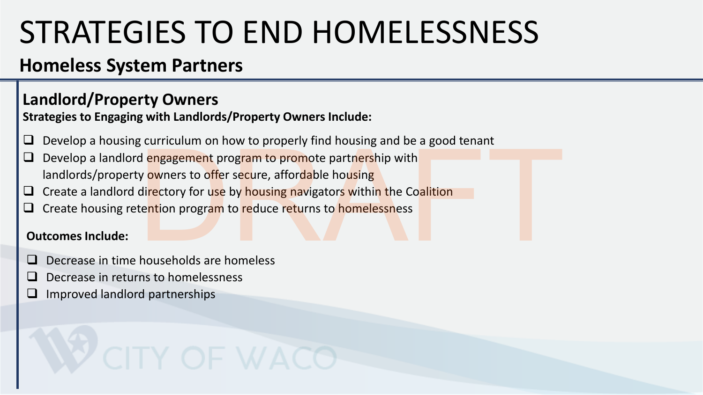## **Homeless System Partners**

#### **Landlord/Property Owners**

**Strategies to Engaging with Landlords/Property Owners Include:**

- Develop a housing curriculum on how to properly find housing and be a good tenant
- Develop a landlord engagement program to promote partnership with landlords/property owners to offer secure, affordable housing dengagement program to property find floading and see a good tend.<br>
Nowners to offer secure, affordable housing<br>
directory for use by housing navigators within the Coalition<br>
tention program to reduce returns to homelessne
- □ Create a landlord directory for use by housing navigators within the Coalition
- Create housing retention program to reduce returns to homelessness

#### **Outcomes Include:**

- ❑ Decrease in time households are homeless
- ❑ Decrease in returns to homelessness
- ❑ Improved landlord partnerships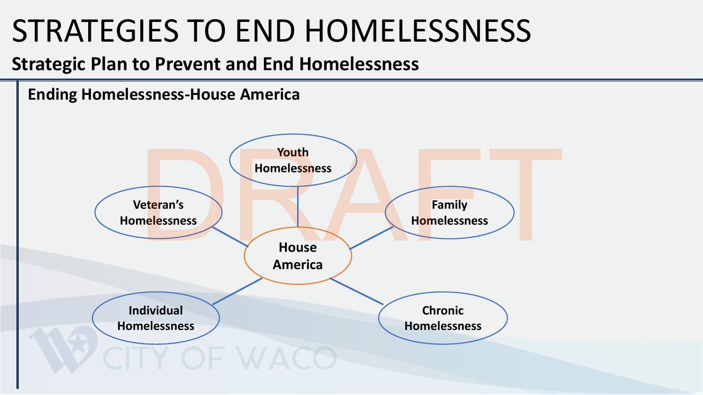## **Strategic Plan to Prevent and End Homelessness**

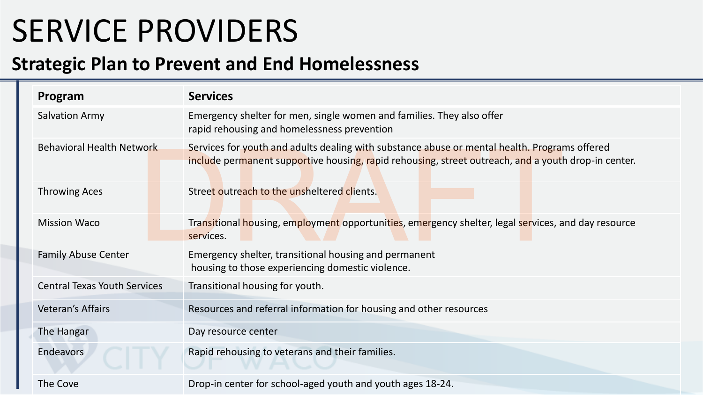# SERVICE PROVIDERS

#### **Strategic Plan to Prevent and End Homelessness**

| Program                             | <b>Services</b>                                                                                                                                                                                      |  |  |  |
|-------------------------------------|------------------------------------------------------------------------------------------------------------------------------------------------------------------------------------------------------|--|--|--|
| <b>Salvation Army</b>               | Emergency shelter for men, single women and families. They also offer<br>rapid rehousing and homelessness prevention                                                                                 |  |  |  |
| <b>Behavioral Health Network</b>    | Services for youth and adults dealing with substance abuse or mental health. Programs offered<br>include permanent supportive housing, rapid rehousing, street outreach, and a youth drop-in center. |  |  |  |
| <b>Throwing Aces</b>                | Street outreach to the unsheltered clients.                                                                                                                                                          |  |  |  |
| <b>Mission Waco</b>                 | Transitional housing, employment opportunities, emergency shelter, legal services, and day resource<br>services.                                                                                     |  |  |  |
| <b>Family Abuse Center</b>          | Emergency shelter, transitional housing and permanent<br>housing to those experiencing domestic violence.                                                                                            |  |  |  |
| <b>Central Texas Youth Services</b> | Transitional housing for youth.                                                                                                                                                                      |  |  |  |
| <b>Veteran's Affairs</b>            | Resources and referral information for housing and other resources                                                                                                                                   |  |  |  |
| The Hangar                          | Day resource center                                                                                                                                                                                  |  |  |  |
| <b>Endeavors</b>                    | Rapid rehousing to veterans and their families.                                                                                                                                                      |  |  |  |
| The Cove                            | Drop-in center for school-aged youth and youth ages 18-24.                                                                                                                                           |  |  |  |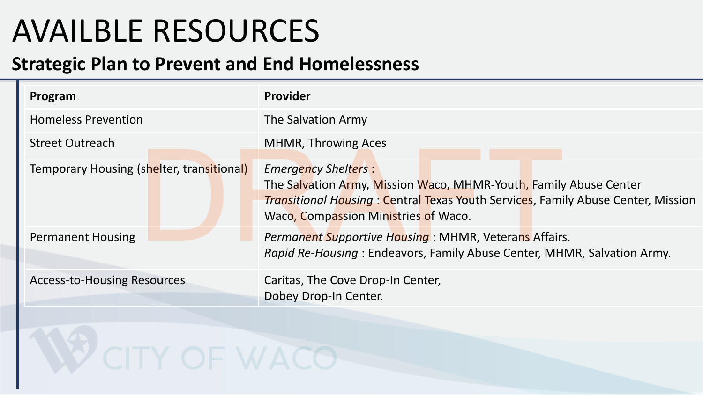# AVAILBLE RESOURCES

## **Strategic Plan to Prevent and End Homelessness**

| Program                                   | <b>Provider</b>                                                                                                                                                                                                                    |  |  |  |
|-------------------------------------------|------------------------------------------------------------------------------------------------------------------------------------------------------------------------------------------------------------------------------------|--|--|--|
| <b>Homeless Prevention</b>                | The Salvation Army                                                                                                                                                                                                                 |  |  |  |
| <b>Street Outreach</b>                    | <b>MHMR, Throwing Aces</b>                                                                                                                                                                                                         |  |  |  |
| Temporary Housing (shelter, transitional) | <b>Emergency Shelters:</b><br>The Salvation Army, Mission Waco, MHMR-Youth, Family Abuse Center<br><b>Transitional Housing: Central Texas Youth Services, Family Abuse Center, Mission</b><br>Waco, Compassion Ministries of Waco. |  |  |  |
| <b>Permanent Housing</b>                  | Permanent Supportive Housing: MHMR, Veterans Affairs.<br>Rapid Re-Housing: Endeavors, Family Abuse Center, MHMR, Salvation Army.                                                                                                   |  |  |  |
| <b>Access-to-Housing Resources</b>        | Caritas, The Cove Drop-In Center,<br>Dobey Drop-In Center.                                                                                                                                                                         |  |  |  |
|                                           |                                                                                                                                                                                                                                    |  |  |  |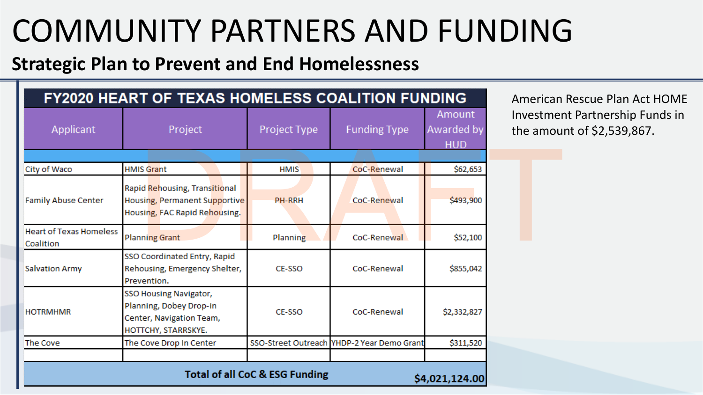# COMMUNITY PARTNERS AND FUNDING

## **Strategic Plan to Prevent and End Homelessness**

|                                             | <b>FY2020 HEART OF TEXAS HOMELESS COALITION FUNDING</b>                                              |                                           |                                            |                                    | American               |
|---------------------------------------------|------------------------------------------------------------------------------------------------------|-------------------------------------------|--------------------------------------------|------------------------------------|------------------------|
| Applicant                                   | Project                                                                                              | Project Type                              | <b>Funding Type</b>                        | Amount<br>Awarded by<br><b>HUD</b> | Investmer<br>the amoul |
| City of Waco                                | <b>HMIS Grant</b>                                                                                    | <b>HMIS</b>                               | CoC-Renewal                                | \$62,653                           |                        |
| <b>Family Abuse Center</b>                  | Rapid Rehousing, Transitional<br>Housing, Permanent Supportive<br>Housing, FAC Rapid Rehousing.      | <b>PH-RRH</b>                             | CoC-Renewal                                | \$493,900                          |                        |
| <b>Heart of Texas Homeless</b><br>Coalition | <b>Planning Grant</b>                                                                                | Planning                                  | CoC-Renewal                                | \$52,100                           |                        |
| <b>Salvation Army</b>                       | SSO Coordinated Entry, Rapid<br>Rehousing, Emergency Shelter,<br>Prevention.                         | CE-SSO                                    | CoC-Renewal                                | \$855,042                          |                        |
| <b>HOTRMHMR</b>                             | SSO Housing Navigator,<br>Planning, Dobey Drop-in<br>Center, Navigation Team,<br>HOTTCHY, STARRSKYE. | <b>CE-SSO</b>                             | CoC-Renewal                                | \$2,332,827                        |                        |
| The Cove                                    | The Cove Drop In Center                                                                              |                                           | SSO-Street Outreach YHDP-2 Year Demo Grant | \$311,520                          |                        |
|                                             |                                                                                                      | <b>Total of all CoC &amp; ESG Funding</b> |                                            | \$4,021,124.00                     |                        |

American Rescue Plan Act HOME Investment Partnership Funds in the amount of \$2,539,867.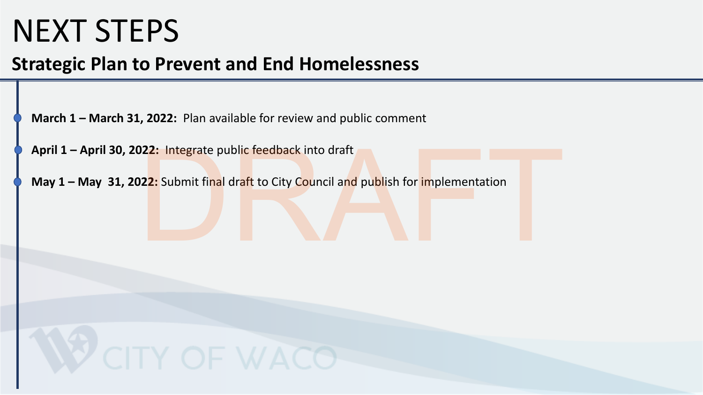## NEXT STEPS

## **Strategic Plan to Prevent and End Homelessness**

**March 1 – March 31, 2022:** Plan available for review and public comment

**April 1 – April 30, 2022:** Integrate public feedback into draft

**May 1 – May 31, 2022:** Submit final draft to City Council and publish for implementation 22: Integrate public feedback into draft<br>22: Submit final draft to City Council and publish for implementation